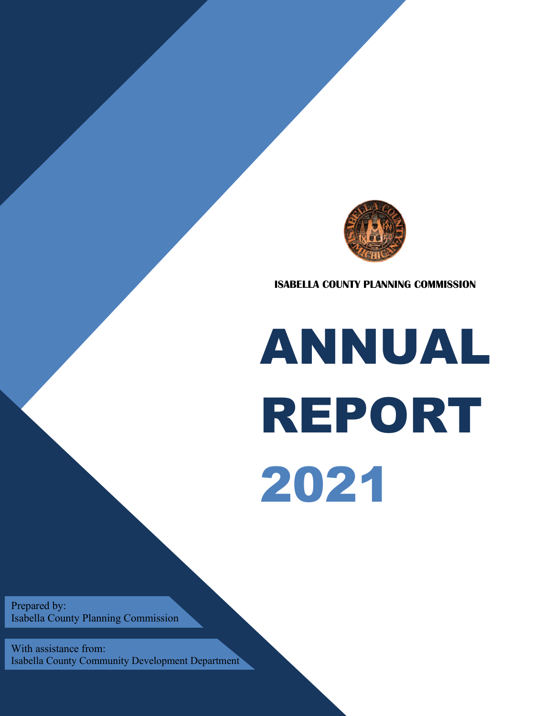

**ISABELLA COUNTY PLANNING COMMISSION**

# ANNUAL REPORT 2021

Prepared by: Isabella County Planning Commission

With assistance from: Isabella County Community Development Department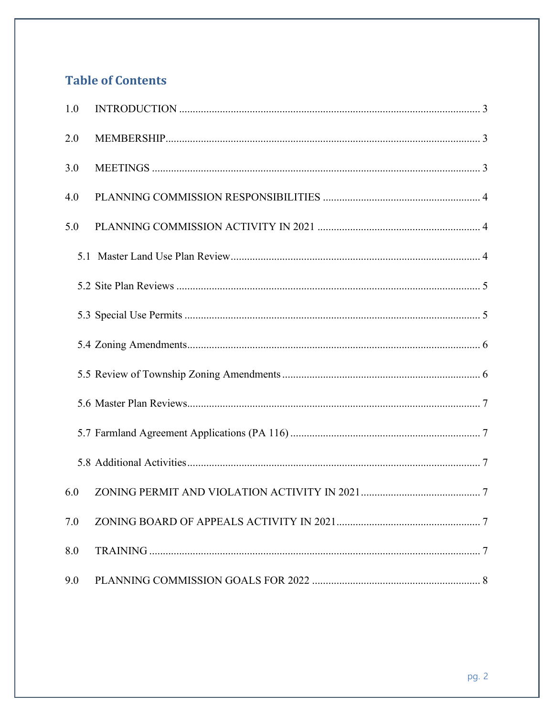# **Table of Contents**

| 1.0 |  |
|-----|--|
| 2.0 |  |
| 3.0 |  |
| 4.0 |  |
| 5.0 |  |
|     |  |
|     |  |
|     |  |
|     |  |
|     |  |
|     |  |
|     |  |
|     |  |
| 6.0 |  |
| 7.0 |  |
| 8.0 |  |
| 9.0 |  |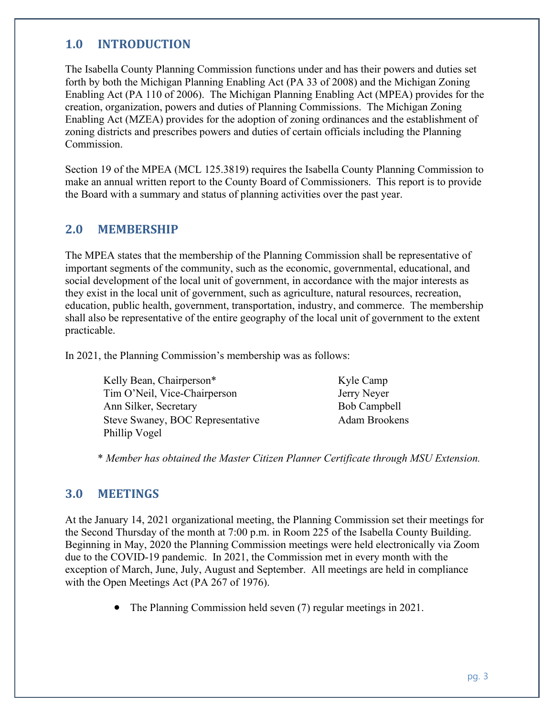# **1.0 INTRODUCTION**

The Isabella County Planning Commission functions under and has their powers and duties set forth by both the Michigan Planning Enabling Act (PA 33 of 2008) and the Michigan Zoning Enabling Act (PA 110 of 2006). The Michigan Planning Enabling Act (MPEA) provides for the creation, organization, powers and duties of Planning Commissions. The Michigan Zoning Enabling Act (MZEA) provides for the adoption of zoning ordinances and the establishment of zoning districts and prescribes powers and duties of certain officials including the Planning Commission.

Section 19 of the MPEA (MCL 125.3819) requires the Isabella County Planning Commission to make an annual written report to the County Board of Commissioners. This report is to provide the Board with a summary and status of planning activities over the past year.

# **2.0 MEMBERSHIP**

The MPEA states that the membership of the Planning Commission shall be representative of important segments of the community, such as the economic, governmental, educational, and social development of the local unit of government, in accordance with the major interests as they exist in the local unit of government, such as agriculture, natural resources, recreation, education, public health, government, transportation, industry, and commerce. The membership shall also be representative of the entire geography of the local unit of government to the extent practicable.

In 2021, the Planning Commission's membership was as follows:

| Kelly Bean, Chairperson*                | Kyle Camp     |
|-----------------------------------------|---------------|
| Tim O'Neil, Vice-Chairperson            | Jerry Neyer   |
| Ann Silker, Secretary                   | Bob Campbell  |
| <b>Steve Swaney, BOC Representative</b> | Adam Brookens |
| Phillip Vogel                           |               |

\* *Member has obtained the Master Citizen Planner Certificate through MSU Extension.*

# **3.0 MEETINGS**

At the January 14, 2021 organizational meeting, the Planning Commission set their meetings for the Second Thursday of the month at 7:00 p.m. in Room 225 of the Isabella County Building. Beginning in May, 2020 the Planning Commission meetings were held electronically via Zoom due to the COVID-19 pandemic. In 2021, the Commission met in every month with the exception of March, June, July, August and September. All meetings are held in compliance with the Open Meetings Act (PA 267 of 1976).

The Planning Commission held seven (7) regular meetings in 2021.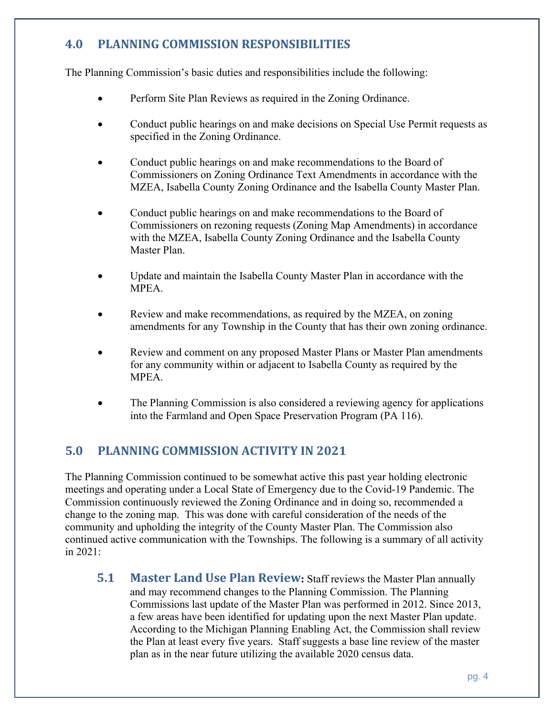# **4.0 PLANNING COMMISSION RESPONSIBILITIES**

The Planning Commission's basic duties and responsibilities include the following:

- Perform Site Plan Reviews as required in the Zoning Ordinance.
- Conduct public hearings on and make decisions on Special Use Permit requests as specified in the Zoning Ordinance.
- Conduct public hearings on and make recommendations to the Board of Commissioners on Zoning Ordinance Text Amendments in accordance with the MZEA, Isabella County Zoning Ordinance and the Isabella County Master Plan.
- Conduct public hearings on and make recommendations to the Board of Commissioners on rezoning requests (Zoning Map Amendments) in accordance with the MZEA, Isabella County Zoning Ordinance and the Isabella County Master Plan.
- Update and maintain the Isabella County Master Plan in accordance with the MPEA.
- Review and make recommendations, as required by the MZEA, on zoning amendments for any Township in the County that has their own zoning ordinance.
- Review and comment on any proposed Master Plans or Master Plan amendments for any community within or adjacent to Isabella County as required by the MPEA.
- The Planning Commission is also considered a reviewing agency for applications into the Farmland and Open Space Preservation Program (PA 116).

# **5.0 PLANNING COMMISSION ACTIVITY IN 2021**

The Planning Commission continued to be somewhat active this past year holding electronic meetings and operating under a Local State of Emergency due to the Covid-19 Pandemic. The Commission continuously reviewed the Zoning Ordinance and in doing so, recommended a change to the zoning map. This was done with careful consideration of the needs of the community and upholding the integrity of the County Master Plan. The Commission also continued active communication with the Townships. The following is a summary of all activity in 2021:

**5.1 Master Land Use Plan Review:** Staff reviews the Master Plan annually and may recommend changes to the Planning Commission. The Planning Commissions last update of the Master Plan was performed in 2012. Since 2013, a few areas have been identified for updating upon the next Master Plan update. According to the Michigan Planning Enabling Act, the Commission shall review the Plan at least every five years. Staff suggests a base line review of the master plan as in the near future utilizing the available 2020 census data.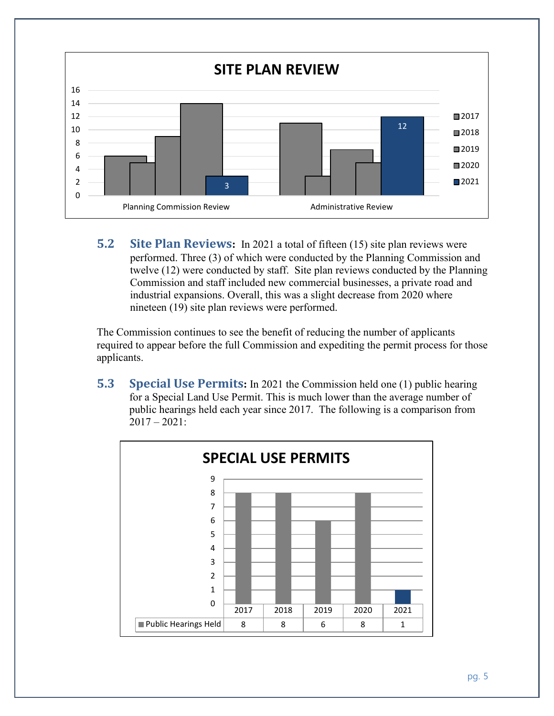

**5.2 Site Plan Reviews:** In 2021 a total of fifteen (15) site plan reviews were performed. Three (3) of which were conducted by the Planning Commission and twelve (12) were conducted by staff. Site plan reviews conducted by the Planning Commission and staff included new commercial businesses, a private road and industrial expansions. Overall, this was a slight decrease from 2020 where nineteen (19) site plan reviews were performed.

The Commission continues to see the benefit of reducing the number of applicants required to appear before the full Commission and expediting the permit process for those applicants.

**5.3 Special Use Permits:** In 2021 the Commission held one (1) public hearing for a Special Land Use Permit. This is much lower than the average number of public hearings held each year since 2017. The following is a comparison from  $2017 - 2021$ :

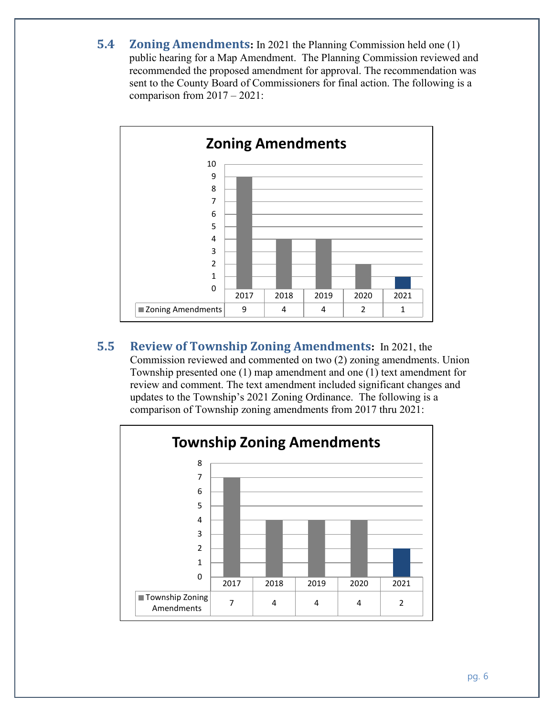**5.4 Zoning Amendments:** In 2021 the Planning Commission held one (1) public hearing for a Map Amendment. The Planning Commission reviewed and recommended the proposed amendment for approval. The recommendation was sent to the County Board of Commissioners for final action. The following is a comparison from 2017 – 2021:



**5.5 Review of Township Zoning Amendments:** In 2021, the Commission reviewed and commented on two (2) zoning amendments. Union Township presented one (1) map amendment and one (1) text amendment for review and comment. The text amendment included significant changes and updates to the Township's 2021 Zoning Ordinance. The following is a comparison of Township zoning amendments from 2017 thru 2021:

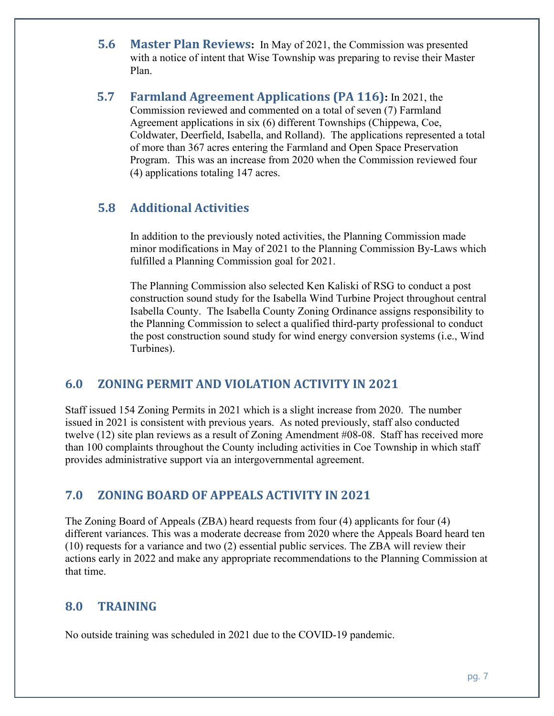- **5.6 Master Plan Reviews:** In May of 2021, the Commission was presented with a notice of intent that Wise Township was preparing to revise their Master Plan.
- **5.7 Farmland Agreement Applications (PA 116):** In 2021, the Commission reviewed and commented on a total of seven (7) Farmland Agreement applications in six (6) different Townships (Chippewa, Coe, Coldwater, Deerfield, Isabella, and Rolland). The applications represented a total of more than 367 acres entering the Farmland and Open Space Preservation Program. This was an increase from 2020 when the Commission reviewed four (4) applications totaling 147 acres.

# **5.8 Additional Activities**

In addition to the previously noted activities, the Planning Commission made minor modifications in May of 2021 to the Planning Commission By-Laws which fulfilled a Planning Commission goal for 2021.

The Planning Commission also selected Ken Kaliski of RSG to conduct a post construction sound study for the Isabella Wind Turbine Project throughout central Isabella County. The Isabella County Zoning Ordinance assigns responsibility to the Planning Commission to select a qualified third-party professional to conduct the post construction sound study for wind energy conversion systems (i.e., Wind Turbines).

# **6.0 ZONING PERMIT AND VIOLATION ACTIVITY IN 2021**

Staff issued 154 Zoning Permits in 2021 which is a slight increase from 2020. The number issued in 2021 is consistent with previous years. As noted previously, staff also conducted twelve (12) site plan reviews as a result of Zoning Amendment #08-08. Staff has received more than 100 complaints throughout the County including activities in Coe Township in which staff provides administrative support via an intergovernmental agreement.

# **7.0 ZONING BOARD OF APPEALS ACTIVITY IN 2021**

The Zoning Board of Appeals (ZBA) heard requests from four (4) applicants for four (4) different variances. This was a moderate decrease from 2020 where the Appeals Board heard ten (10) requests for a variance and two (2) essential public services. The ZBA will review their actions early in 2022 and make any appropriate recommendations to the Planning Commission at that time.

# **8.0 TRAINING**

No outside training was scheduled in 2021 due to the COVID-19 pandemic.